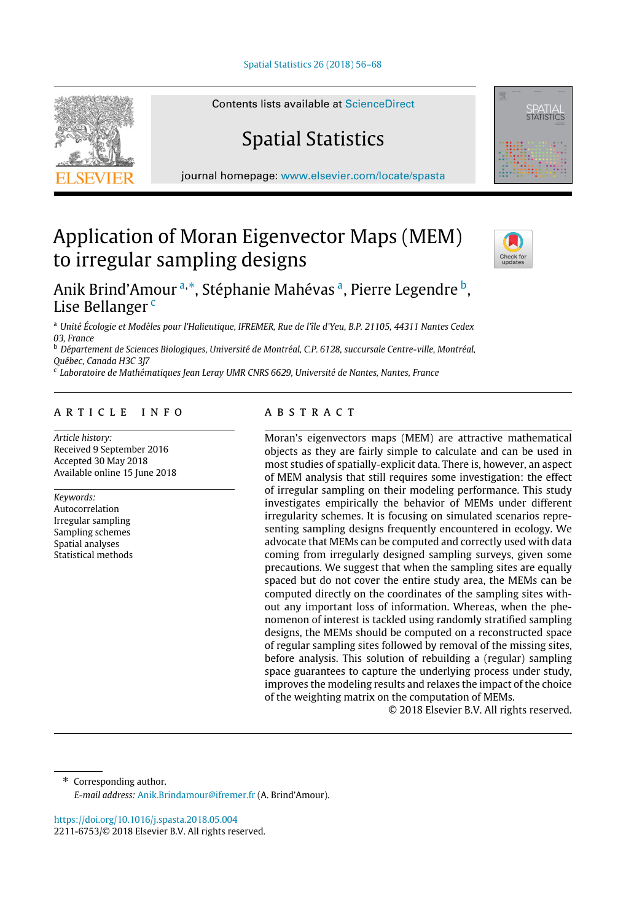

Contents lists available at [ScienceDirect](http://www.elsevier.com/locate/spasta)

## Spatial Statistics

journal homepage: [www.elsevier.com/locate/spasta](http://www.elsevier.com/locate/spasta)



# Application of Moran Eigenvector Maps (MEM) to irregular sampling designs



## Anik Brind'Amour <sup>[a,](#page-0-0)</sup>[\\*](#page-0-1), Stéph[a](#page-0-0)nie Mahévas <sup>a</sup>, Pierre Legendre <sup>[b](#page-0-2)</sup>, Lise Bellanger<sup>[c](#page-0-3)</sup>

<span id="page-0-0"></span><sup>a</sup> *Unité Écologie et Modèles pour l'Halieutique, IFREMER, Rue de l'île d'Yeu, B.P. 21105, 44311 Nantes Cedex 03, France*

<span id="page-0-2"></span><sup>b</sup> *Département de Sciences Biologiques, Université de Montréal, C.P. 6128, succursale Centre-ville, Montréal, Québec, Canada H3C 3J7*

<span id="page-0-3"></span>c *Laboratoire de Mathématiques Jean Leray UMR CNRS 6629, Université de Nantes, Nantes, France*

## a r t i c l e i n f o

*Article history:* Received 9 September 2016 Accepted 30 May 2018 Available online 15 June 2018

*Keywords:* Autocorrelation Irregular sampling Sampling schemes Spatial analyses Statistical methods

## a b s t r a c t

Moran's eigenvectors maps (MEM) are attractive mathematical objects as they are fairly simple to calculate and can be used in most studies of spatially-explicit data. There is, however, an aspect of MEM analysis that still requires some investigation: the effect of irregular sampling on their modeling performance. This study investigates empirically the behavior of MEMs under different irregularity schemes. It is focusing on simulated scenarios representing sampling designs frequently encountered in ecology. We advocate that MEMs can be computed and correctly used with data coming from irregularly designed sampling surveys, given some precautions. We suggest that when the sampling sites are equally spaced but do not cover the entire study area, the MEMs can be computed directly on the coordinates of the sampling sites without any important loss of information. Whereas, when the phenomenon of interest is tackled using randomly stratified sampling designs, the MEMs should be computed on a reconstructed space of regular sampling sites followed by removal of the missing sites, before analysis. This solution of rebuilding a (regular) sampling space guarantees to capture the underlying process under study, improves the modeling results and relaxes the impact of the choice of the weighting matrix on the computation of MEMs.

© 2018 Elsevier B.V. All rights reserved.

<span id="page-0-1"></span>\* Corresponding author. *E-mail address:* [Anik.Brindamour@ifremer.fr](mailto:Anik.Brindamour@ifremer.fr) (A. Brind'Amour).

<https://doi.org/10.1016/j.spasta.2018.05.004> 2211-6753/© 2018 Elsevier B.V. All rights reserved.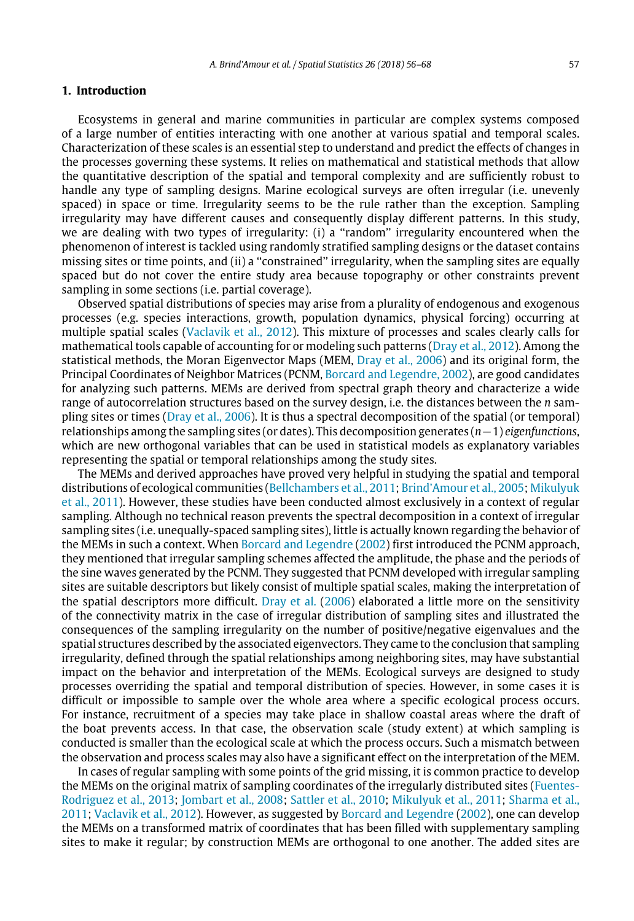#### **1. Introduction**

Ecosystems in general and marine communities in particular are complex systems composed of a large number of entities interacting with one another at various spatial and temporal scales. Characterization of these scales is an essential step to understand and predict the effects of changes in the processes governing these systems. It relies on mathematical and statistical methods that allow the quantitative description of the spatial and temporal complexity and are sufficiently robust to handle any type of sampling designs. Marine ecological surveys are often irregular (i.e. unevenly spaced) in space or time. Irregularity seems to be the rule rather than the exception. Sampling irregularity may have different causes and consequently display different patterns. In this study, we are dealing with two types of irregularity: (i) a ''random'' irregularity encountered when the phenomenon of interest is tackled using randomly stratified sampling designs or the dataset contains missing sites or time points, and (ii) a ''constrained'' irregularity, when the sampling sites are equally spaced but do not cover the entire study area because topography or other constraints prevent sampling in some sections (i.e. partial coverage).

Observed spatial distributions of species may arise from a plurality of endogenous and exogenous processes (e.g. species interactions, growth, population dynamics, physical forcing) occurring at multiple spatial scales ([Vaclavik](#page-12-0) [et](#page-12-0) [al.,](#page-12-0) [2012\)](#page-12-0). This mixture of processes and scales clearly calls for mathematical tools capable of accounting for or modeling such patterns [\(Dray](#page-11-0) [et](#page-11-0) [al.,](#page-11-0) [2012\)](#page-11-0). Among the statistical methods, the Moran Eigenvector Maps (MEM, [Dray](#page-11-1) [et](#page-11-1) [al.,](#page-11-1) [2006\)](#page-11-1) and its original form, the Principal Coordinates of Neighbor Matrices (PCNM, [Borcard](#page-11-2) [and](#page-11-2) [Legendre,](#page-11-2) [2002\)](#page-11-2), are good candidates for analyzing such patterns. MEMs are derived from spectral graph theory and characterize a wide range of autocorrelation structures based on the survey design, i.e. the distances between the *n* sampling sites or times [\(Dray](#page-11-1) [et](#page-11-1) [al.,](#page-11-1) [2006](#page-11-1)). It is thus a spectral decomposition of the spatial (or temporal) relationships among the sampling sites (or dates). This decomposition generates (*n*−1) *eigenfunctions*, which are new orthogonal variables that can be used in statistical models as explanatory variables representing the spatial or temporal relationships among the study sites.

The MEMs and derived approaches have proved very helpful in studying the spatial and temporal distributions of ecological communities ([Bellchambers](#page-11-3) [et](#page-11-3) [al.,](#page-11-3) [2011](#page-11-3); [Brind'Amour](#page-11-4) [et](#page-11-4) [al.,](#page-11-4) [2005](#page-11-4); [Mikulyuk](#page-12-1) [et](#page-12-1) [al.,](#page-12-1) [2011\)](#page-12-1). However, these studies have been conducted almost exclusively in a context of regular sampling. Although no technical reason prevents the spectral decomposition in a context of irregular sampling sites (i.e. unequally-spaced sampling sites), little is actually known regarding the behavior of the MEMs in such a context. When [Borcard](#page-11-2) [and](#page-11-2) [Legendre](#page-11-2) ([2002\)](#page-11-2) first introduced the PCNM approach, they mentioned that irregular sampling schemes affected the amplitude, the phase and the periods of the sine waves generated by the PCNM. They suggested that PCNM developed with irregular sampling sites are suitable descriptors but likely consist of multiple spatial scales, making the interpretation of the spatial descriptors more difficult. [Dray](#page-11-1) [et](#page-11-1) [al.](#page-11-1) ([2006\)](#page-11-1) elaborated a little more on the sensitivity of the connectivity matrix in the case of irregular distribution of sampling sites and illustrated the consequences of the sampling irregularity on the number of positive/negative eigenvalues and the spatial structures described by the associated eigenvectors. They came to the conclusion that sampling irregularity, defined through the spatial relationships among neighboring sites, may have substantial impact on the behavior and interpretation of the MEMs. Ecological surveys are designed to study processes overriding the spatial and temporal distribution of species. However, in some cases it is difficult or impossible to sample over the whole area where a specific ecological process occurs. For instance, recruitment of a species may take place in shallow coastal areas where the draft of the boat prevents access. In that case, the observation scale (study extent) at which sampling is conducted is smaller than the ecological scale at which the process occurs. Such a mismatch between the observation and process scales may also have a significant effect on the interpretation of the MEM.

In cases of regular sampling with some points of the grid missing, it is common practice to develop the MEMs on the original matrix of sampling coordinates of the irregularly distributed sites ([Fuentes-](#page-11-5)[Rodriguez](#page-11-5) [et](#page-11-5) [al.,](#page-11-5) [2013;](#page-11-5) [Jombart](#page-11-6) [et](#page-11-6) [al.,](#page-11-6) [2008](#page-11-6); [Sattler](#page-12-2) [et](#page-12-2) [al.,](#page-12-2) [2010](#page-12-2); [Mikulyuk](#page-12-1) [et](#page-12-1) [al.,](#page-12-1) [2011;](#page-12-1) [Sharma](#page-12-3) [et](#page-12-3) [al.,](#page-12-3) [2011;](#page-12-3) [Vaclavik](#page-12-0) [et](#page-12-0) [al.,](#page-12-0) [2012](#page-12-0)). However, as suggested by [Borcard](#page-11-2) [and](#page-11-2) [Legendre](#page-11-2) [\(2002](#page-11-2)), one can develop the MEMs on a transformed matrix of coordinates that has been filled with supplementary sampling sites to make it regular; by construction MEMs are orthogonal to one another. The added sites are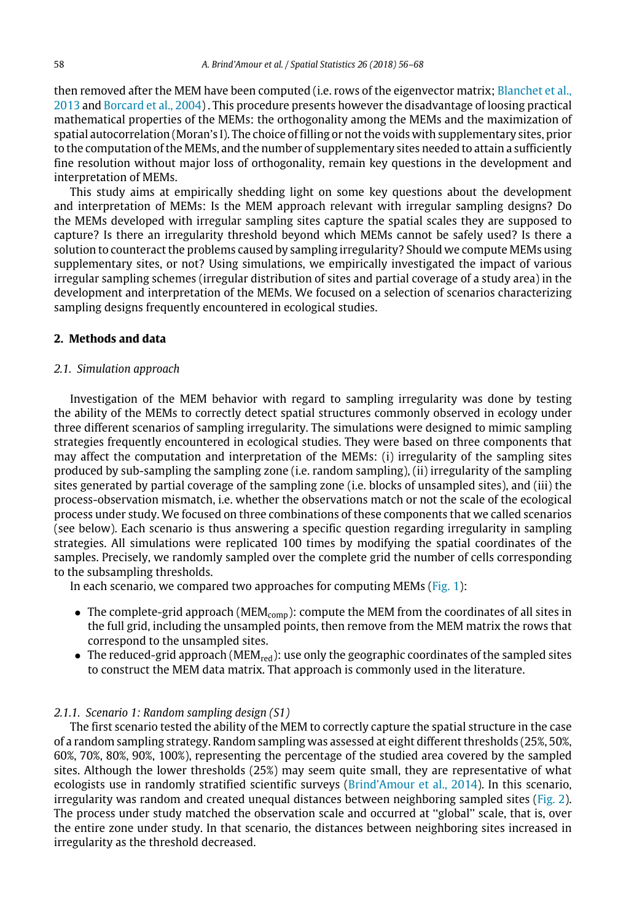then removed after the MEM have been computed (i.e. rows of the eigenvector matrix; [Blanchet](#page-11-7) [et](#page-11-7) [al.,](#page-11-7) [2013](#page-11-7) and [Borcard](#page-11-8) [et](#page-11-8) [al.,](#page-11-8) [2004\)](#page-11-8) . This procedure presents however the disadvantage of loosing practical mathematical properties of the MEMs: the orthogonality among the MEMs and the maximization of spatial autocorrelation (Moran's I). The choice of filling or not the voids with supplementary sites, prior to the computation of the MEMs, and the number of supplementary sites needed to attain a sufficiently fine resolution without major loss of orthogonality, remain key questions in the development and interpretation of MEMs.

This study aims at empirically shedding light on some key questions about the development and interpretation of MEMs: Is the MEM approach relevant with irregular sampling designs? Do the MEMs developed with irregular sampling sites capture the spatial scales they are supposed to capture? Is there an irregularity threshold beyond which MEMs cannot be safely used? Is there a solution to counteract the problems caused by sampling irregularity? Should we compute MEMs using supplementary sites, or not? Using simulations, we empirically investigated the impact of various irregular sampling schemes (irregular distribution of sites and partial coverage of a study area) in the development and interpretation of the MEMs. We focused on a selection of scenarios characterizing sampling designs frequently encountered in ecological studies.

## **2. Methods and data**

## *2.1. Simulation approach*

Investigation of the MEM behavior with regard to sampling irregularity was done by testing the ability of the MEMs to correctly detect spatial structures commonly observed in ecology under three different scenarios of sampling irregularity. The simulations were designed to mimic sampling strategies frequently encountered in ecological studies. They were based on three components that may affect the computation and interpretation of the MEMs: (i) irregularity of the sampling sites produced by sub-sampling the sampling zone (i.e. random sampling), (ii) irregularity of the sampling sites generated by partial coverage of the sampling zone (i.e. blocks of unsampled sites), and (iii) the process-observation mismatch, i.e. whether the observations match or not the scale of the ecological process under study. We focused on three combinations of these components that we called scenarios (see below). Each scenario is thus answering a specific question regarding irregularity in sampling strategies. All simulations were replicated 100 times by modifying the spatial coordinates of the samples. Precisely, we randomly sampled over the complete grid the number of cells corresponding to the subsampling thresholds.

In each scenario, we compared two approaches for computing MEMs [\(Fig. 1](#page-3-0)):

- The complete-grid approach ( $MEM_{\text{comp}}$ ): compute the MEM from the coordinates of all sites in the full grid, including the unsampled points, then remove from the MEM matrix the rows that correspond to the unsampled sites.
- $\bullet$  The reduced-grid approach (MEM<sub>red</sub>): use only the geographic coordinates of the sampled sites to construct the MEM data matrix. That approach is commonly used in the literature.

## *2.1.1. Scenario 1: Random sampling design (S1)*

The first scenario tested the ability of the MEM to correctly capture the spatial structure in the case of a random sampling strategy. Random sampling was assessed at eight different thresholds (25%, 50%, 60%, 70%, 80%, 90%, 100%), representing the percentage of the studied area covered by the sampled sites. Although the lower thresholds (25%) may seem quite small, they are representative of what ecologists use in randomly stratified scientific surveys [\(Brind'Amour](#page-11-9) [et](#page-11-9) [al.,](#page-11-9) [2014](#page-11-9)). In this scenario, irregularity was random and created unequal distances between neighboring sampled sites ([Fig. 2](#page-3-1)). The process under study matched the observation scale and occurred at ''global'' scale, that is, over the entire zone under study. In that scenario, the distances between neighboring sites increased in irregularity as the threshold decreased.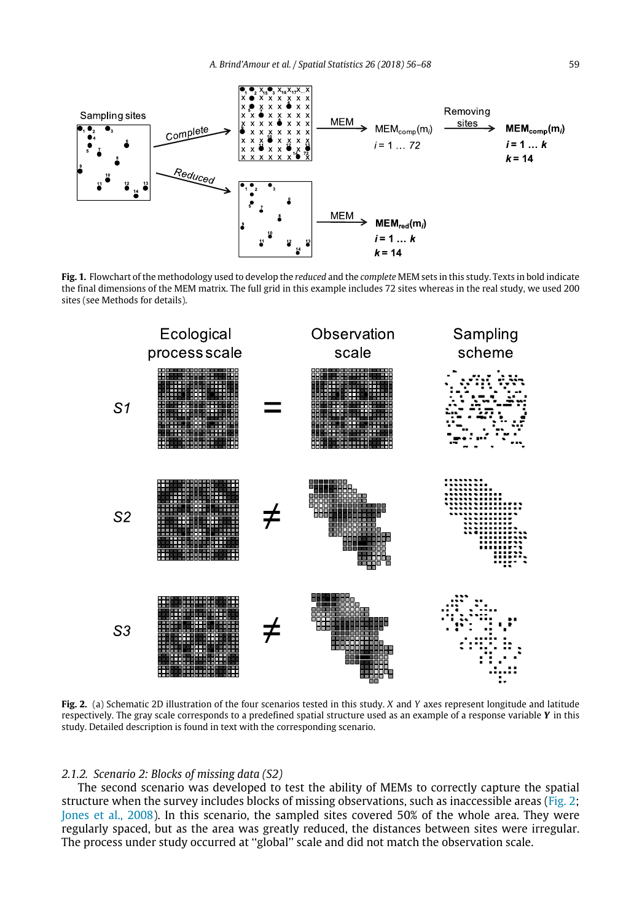<span id="page-3-0"></span>

**Fig. 1.** Flowchart of the methodology used to develop the *reduced* and the *complete* MEM sets in this study. Texts in bold indicate the final dimensions of the MEM matrix. The full grid in this example includes 72 sites whereas in the real study, we used 200 sites (see Methods for details).

<span id="page-3-1"></span>

**Fig. 2.** (a) Schematic 2D illustration of the four scenarios tested in this study. *X* and *Y* axes represent longitude and latitude respectively. The gray scale corresponds to a predefined spatial structure used as an example of a response variable *Y* in this study. Detailed description is found in text with the corresponding scenario.

#### *2.1.2. Scenario 2: Blocks of missing data (S2)*

The second scenario was developed to test the ability of MEMs to correctly capture the spatial structure when the survey includes blocks of missing observations, such as inaccessible areas ([Fig. 2;](#page-3-1) [Jones](#page-12-4) [et](#page-12-4) [al.,](#page-12-4) [2008](#page-12-4)). In this scenario, the sampled sites covered 50% of the whole area. They were regularly spaced, but as the area was greatly reduced, the distances between sites were irregular. The process under study occurred at ''global'' scale and did not match the observation scale.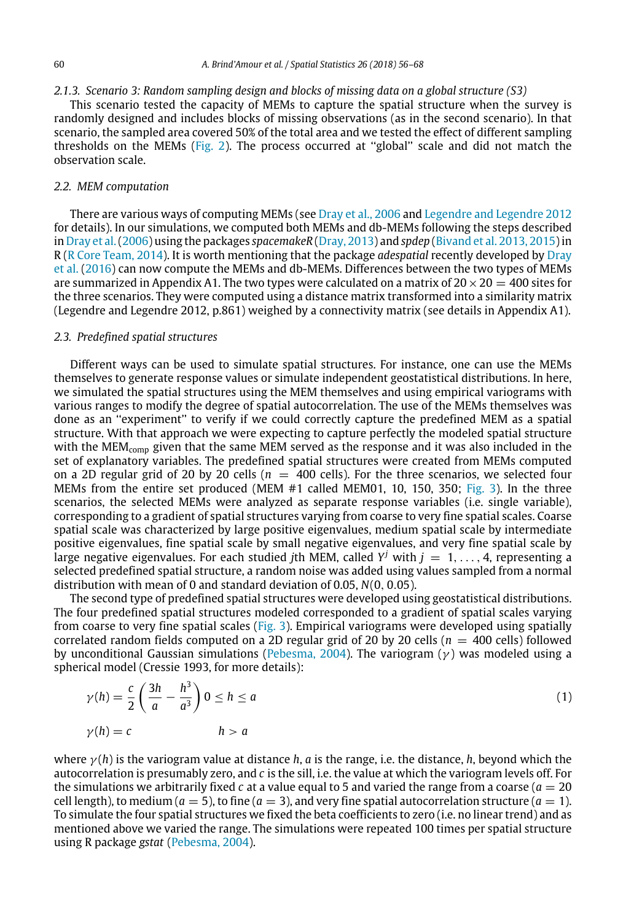## *2.1.3. Scenario 3: Random sampling design and blocks of missing data on a global structure (S3)*

This scenario tested the capacity of MEMs to capture the spatial structure when the survey is randomly designed and includes blocks of missing observations (as in the second scenario). In that scenario, the sampled area covered 50% of the total area and we tested the effect of different sampling thresholds on the MEMs [\(Fig. 2](#page-3-1)). The process occurred at ''global'' scale and did not match the observation scale.

#### *2.2. MEM computation*

There are various ways of computing MEMs (see [Dray](#page-11-1) [et](#page-11-1) [al.,](#page-11-1) [2006](#page-11-1) and [Legendre](#page-12-5) [and](#page-12-5) [Legendre](#page-12-5) [2012](#page-12-5) for details). In our simulations, we computed both MEMs and db-MEMs following the steps described in [Dray](#page-11-1) [et](#page-11-1) [al.\(2006\)](#page-11-1) using the packages *spacemakeR* [\(Dray,](#page-11-10) [2013](#page-11-10)) and *spdep* ([Bivand](#page-11-11) [et](#page-11-11) [al.](#page-11-11) [2013,](#page-11-11) [2015](#page-11-11)) in R ([R](#page-12-6) [Core](#page-12-6) [Team,](#page-12-6) [2014](#page-12-6)). It is worth mentioning that the package *adespatial* recently developed by [Dray](#page-11-12) [et](#page-11-12) [al.](#page-11-12) [\(2016](#page-11-12)) can now compute the MEMs and db-MEMs. Differences between the two types of MEMs are summarized in Appendix A1. The two types were calculated on a matrix of  $20 \times 20 = 400$  sites for the three scenarios. They were computed using a distance matrix transformed into a similarity matrix (Legendre and Legendre 2012, p.861) weighed by a connectivity matrix (see details in Appendix A1).

## *2.3. Predefined spatial structures*

 $33.93$ 

Different ways can be used to simulate spatial structures. For instance, one can use the MEMs themselves to generate response values or simulate independent geostatistical distributions. In here, we simulated the spatial structures using the MEM themselves and using empirical variograms with various ranges to modify the degree of spatial autocorrelation. The use of the MEMs themselves was done as an ''experiment'' to verify if we could correctly capture the predefined MEM as a spatial structure. With that approach we were expecting to capture perfectly the modeled spatial structure with the MEM<sub>comp</sub> given that the same MEM served as the response and it was also included in the set of explanatory variables. The predefined spatial structures were created from MEMs computed on a 2D regular grid of 20 by 20 cells  $(n = 400 \text{ cells})$ . For the three scenarios, we selected four MEMs from the entire set produced (MEM #1 called MEM01, 10, 150, 350; [Fig. 3](#page-5-0)). In the three scenarios, the selected MEMs were analyzed as separate response variables (i.e. single variable), corresponding to a gradient of spatial structures varying from coarse to very fine spatial scales. Coarse spatial scale was characterized by large positive eigenvalues, medium spatial scale by intermediate positive eigenvalues, fine spatial scale by small negative eigenvalues, and very fine spatial scale by large negative eigenvalues. For each studied *j*th MEM, called  $Y^j$  with  $j = 1, \ldots, 4$ , representing a selected predefined spatial structure, a random noise was added using values sampled from a normal distribution with mean of 0 and standard deviation of 0.05, *N*(0, 0.05).

The second type of predefined spatial structures were developed using geostatistical distributions. The four predefined spatial structures modeled corresponded to a gradient of spatial scales varying from coarse to very fine spatial scales [\(Fig. 3\)](#page-5-0). Empirical variograms were developed using spatially correlated random fields computed on a 2D regular grid of 20 by 20 cells (*n* = 400 cells) followed by unconditional Gaussian simulations [\(Pebesma,](#page-12-7) [2004](#page-12-7)). The variogram ( $\nu$ ) was modeled using a spherical model (Cressie 1993, for more details):

$$
\gamma(h) = \frac{c}{2} \left( \frac{3h}{a} - \frac{h^3}{a^3} \right) 0 \le h \le a
$$
  
\n
$$
\gamma(h) = c \qquad \qquad h > a \tag{1}
$$

where γ (*h*) is the variogram value at distance *h*, *a* is the range, i.e. the distance, *h*, beyond which the autocorrelation is presumably zero, and *c* is the sill, i.e. the value at which the variogram levels off. For the simulations we arbitrarily fixed  $c$  at a value equal to 5 and varied the range from a coarse ( $a = 20$ ) cell length), to medium ( $a = 5$ ), to fine ( $a = 3$ ), and very fine spatial autocorrelation structure ( $a = 1$ ). To simulate the four spatial structures we fixed the beta coefficients to zero (i.e. no linear trend) and as mentioned above we varied the range. The simulations were repeated 100 times per spatial structure using R package *gstat* ([Pebesma,](#page-12-7) [2004\)](#page-12-7).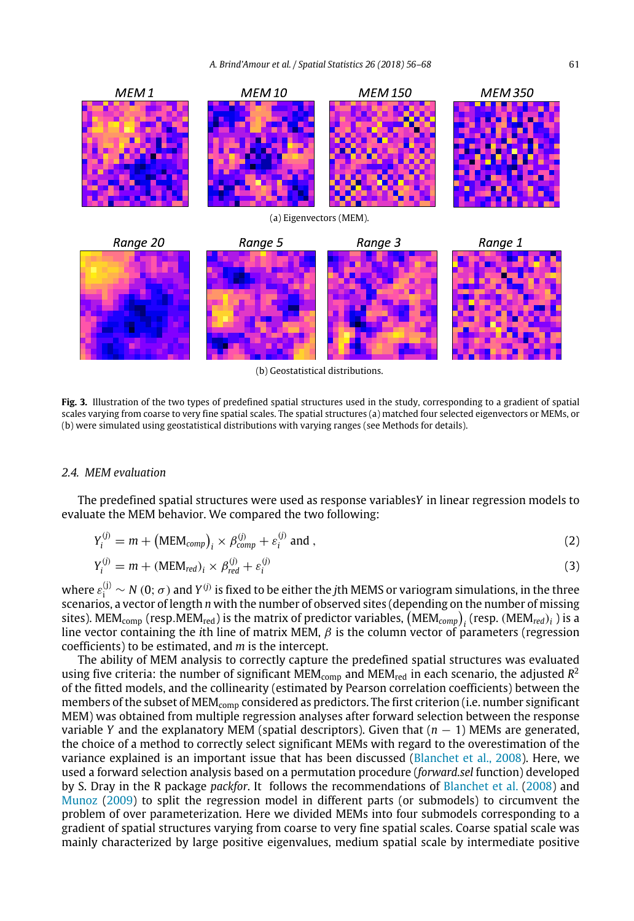<span id="page-5-0"></span>

(b) Geostatistical distributions.

**Fig. 3.** Illustration of the two types of predefined spatial structures used in the study, corresponding to a gradient of spatial scales varying from coarse to very fine spatial scales. The spatial structures (a) matched four selected eigenvectors or MEMs, or (b) were simulated using geostatistical distributions with varying ranges (see Methods for details).

## *2.4. MEM evaluation*

The predefined spatial structures were used as response variables*Y* in linear regression models to evaluate the MEM behavior. We compared the two following:

<span id="page-5-1"></span>
$$
Y_i^{(j)} = m + (MEM_{comp})_i \times \beta_{comp}^{(j)} + \varepsilon_i^{(j)} \text{ and },
$$
 (2)

<span id="page-5-2"></span>
$$
Y_i^{(j)} = m + (MEM_{red})_i \times \beta_{red}^{(j)} + \varepsilon_i^{(j)}
$$
\n(3)

where  $\varepsilon_i^{(j)} \sim N(0;\sigma)$  and  $Y^{(j)}$  is fixed to be either the *j*th MEMS or variogram simulations, in the three scenarios, a vector of length *n* with the number of observed sites (depending on the number of missing sites). MEM $_{\rm comp}$  (resp.MEM $_{\rm red}$ ) is the matrix of predictor variables,  ${\rm (MEM}_{\rm comp})^{}_i$  (resp. (MEM $_{\rm red})^{}_i$  ) is a *i*<sub>ctocy</sub>, *i*<sub>1211</sub><sub>(*bilip*</sup>) *j* is the *i*<sub>1</sub> matrix of products variables,  $\{\text{max}_{i,j}\}_{j}$  (resp.  $\{\text{max}_{i,j}\}_{j}$ ) is a</sub> coefficients) to be estimated, and *m* is the intercept.

The ability of MEM analysis to correctly capture the predefined spatial structures was evaluated using five criteria: the number of significant MEM<sub>comp</sub> and MEM<sub>red</sub> in each scenario, the adjusted R<sup>2</sup> of the fitted models, and the collinearity (estimated by Pearson correlation coefficients) between the members of the subset of MEM<sub>comp</sub> considered as predictors. The first criterion (i.e. number significant MEM) was obtained from multiple regression analyses after forward selection between the response variable *Y* and the explanatory MEM (spatial descriptors). Given that  $(n - 1)$  MEMs are generated, the choice of a method to correctly select significant MEMs with regard to the overestimation of the variance explained is an important issue that has been discussed ([Blanchet](#page-11-13) [et](#page-11-13) [al.,](#page-11-13) [2008](#page-11-13)). Here, we used a forward selection analysis based on a permutation procedure (*forward.sel* function) developed by S. Dray in the R package *packfor*. It follows the recommendations of [Blanchet](#page-11-13) [et](#page-11-13) [al.](#page-11-13) ([2008\)](#page-11-13) and [Munoz](#page-12-8) ([2009](#page-12-8)) to split the regression model in different parts (or submodels) to circumvent the problem of over parameterization. Here we divided MEMs into four submodels corresponding to a gradient of spatial structures varying from coarse to very fine spatial scales. Coarse spatial scale was mainly characterized by large positive eigenvalues, medium spatial scale by intermediate positive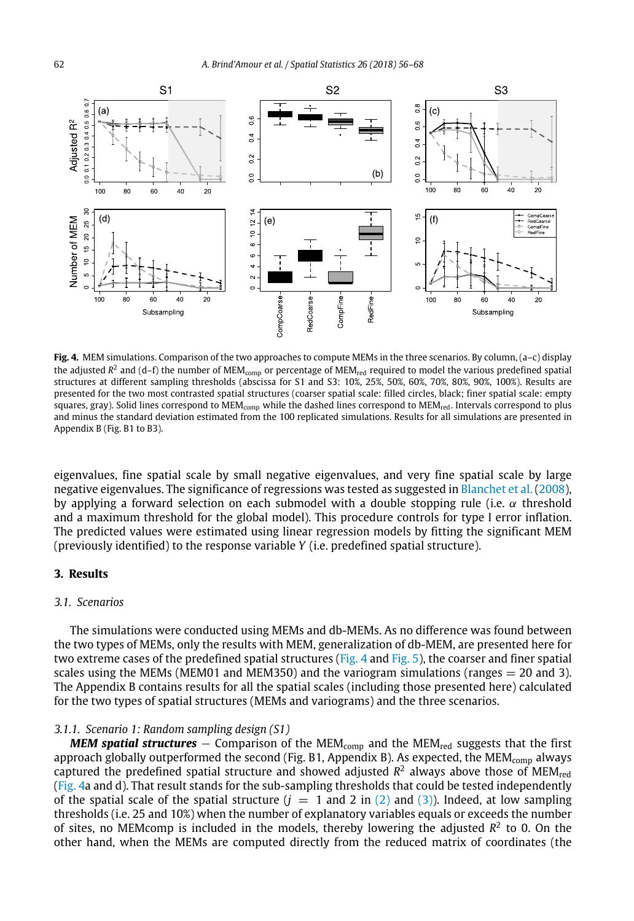<span id="page-6-0"></span>

**Fig. 4.** MEM simulations. Comparison of the two approaches to compute MEMs in the three scenarios. By column, (a–c) display the adjusted  $R^2$  and (d–f) the number of MEM<sub>comp</sub> or percentage of MEM<sub>red</sub> required to model the various predefined spatial structures at different sampling thresholds (abscissa for S1 and S3: 10%, 25%, 50%, 60%, 70%, 80%, 90%, 100%). Results are presented for the two most contrasted spatial structures (coarser spatial scale: filled circles, black; finer spatial scale: empty squares, gray). Solid lines correspond to MEM<sub>comp</sub> while the dashed lines correspond to MEM<sub>red</sub>. Intervals correspond to plus and minus the standard deviation estimated from the 100 replicated simulations. Results for all simulations are presented in Appendix B (Fig. B1 to B3).

eigenvalues, fine spatial scale by small negative eigenvalues, and very fine spatial scale by large negative eigenvalues. The significance of regressions was tested as suggested in [Blanchet](#page-11-13) [et](#page-11-13) [al.](#page-11-13) ([2008](#page-11-13)), by applying a forward selection on each submodel with a double stopping rule (i.e.  $\alpha$  threshold and a maximum threshold for the global model). This procedure controls for type I error inflation. The predicted values were estimated using linear regression models by fitting the significant MEM (previously identified) to the response variable *Y* (i.e. predefined spatial structure).

#### **3. Results**

## *3.1. Scenarios*

The simulations were conducted using MEMs and db-MEMs. As no difference was found between the two types of MEMs, only the results with MEM, generalization of db-MEM, are presented here for two extreme cases of the predefined spatial structures [\(Fig. 4](#page-6-0) and [Fig. 5](#page-7-0)), the coarser and finer spatial scales using the MEMs (MEM01 and MEM350) and the variogram simulations (ranges  $= 20$  and 3). The Appendix B contains results for all the spatial scales (including those presented here) calculated for the two types of spatial structures (MEMs and variograms) and the three scenarios.

## *3.1.1. Scenario 1: Random sampling design (S1)*

*MEM spatial structures* − Comparison of the MEM<sub>comp</sub> and the MEM<sub>red</sub> suggests that the first approach globally outperformed the second (Fig. B1, Appendix B). As expected, the  $MEM_{comp}$  always captured the predefined spatial structure and showed adjusted  $R^2$  always above those of  $\text{MEM}_{\text{red}}$ ([Fig. 4a](#page-6-0) and d). That result stands for the sub-sampling thresholds that could be tested independently of the spatial scale of the spatial structure  $(j = 1 \text{ and } 2 \text{ in } (2) \text{ and } (3)$  $(j = 1 \text{ and } 2 \text{ in } (2) \text{ and } (3)$  $(j = 1 \text{ and } 2 \text{ in } (2) \text{ and } (3)$ ). Indeed, at low sampling thresholds (i.e. 25 and 10%) when the number of explanatory variables equals or exceeds the number of sites, no MEMcomp is included in the models, thereby lowering the adjusted  $R^2$  to 0. On the other hand, when the MEMs are computed directly from the reduced matrix of coordinates (the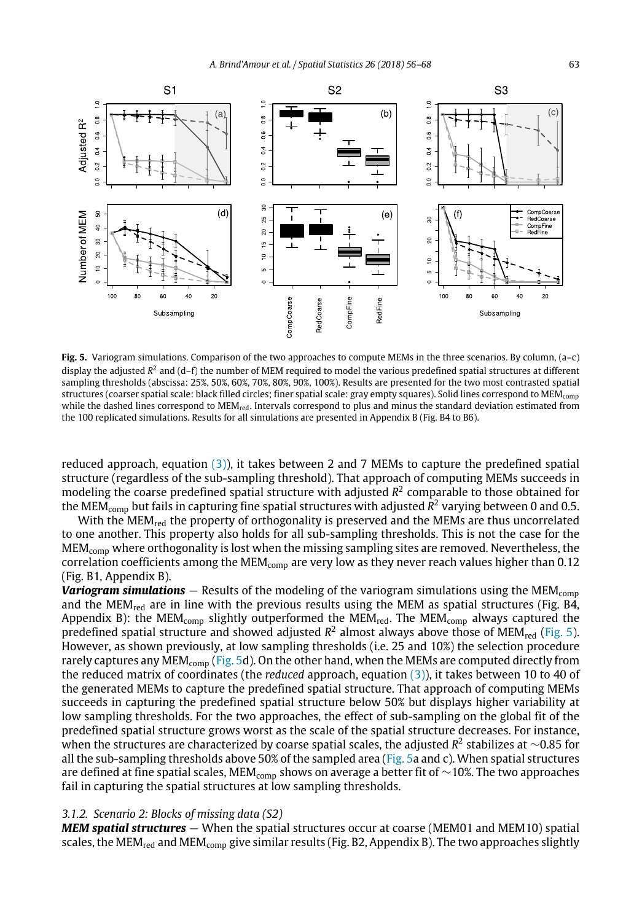<span id="page-7-0"></span>

**Fig. 5.** Variogram simulations. Comparison of the two approaches to compute MEMs in the three scenarios. By column, (a–c) display the adjusted R<sup>2</sup> and (d–f) the number of MEM required to model the various predefined spatial structures at different sampling thresholds (abscissa: 25%, 50%, 60%, 70%, 80%, 90%, 100%). Results are presented for the two most contrasted spatial structures (coarser spatial scale: black filled circles; finer spatial scale: gray empty squares). Solid lines correspond to MEMcomp while the dashed lines correspond to MEM<sub>red</sub>. Intervals correspond to plus and minus the standard deviation estimated from the 100 replicated simulations. Results for all simulations are presented in Appendix B (Fig. B4 to B6).

reduced approach, equation [\(3\)](#page-5-2)), it takes between 2 and 7 MEMs to capture the predefined spatial structure (regardless of the sub-sampling threshold). That approach of computing MEMs succeeds in modeling the coarse predefined spatial structure with adjusted *R* 2 comparable to those obtained for the MEM $_{\rm comp}$  but fails in capturing fine spatial structures with adjusted  $R^2$  varying between 0 and 0.5.

With the MEM<sub>red</sub> the property of orthogonality is preserved and the MEMs are thus uncorrelated to one another. This property also holds for all sub-sampling thresholds. This is not the case for the MEMcomp where orthogonality is lost when the missing sampling sites are removed. Nevertheless, the correlation coefficients among the  $MEM_{comp}$  are very low as they never reach values higher than 0.12 (Fig. B1, Appendix B).

*Variogram simulations* − Results of the modeling of the variogram simulations using the MEM<sub>comp</sub> and the MEM<sub>red</sub> are in line with the previous results using the MEM as spatial structures (Fig. B4, Appendix B): the MEM<sub>comp</sub> slightly outperformed the MEM<sub>red</sub>. The MEM<sub>comp</sub> always captured the predefined spatial structure and showed adjusted  $R^2$  almost always above those of MEM<sub>red</sub> [\(Fig. 5\)](#page-7-0). However, as shown previously, at low sampling thresholds (i.e. 25 and 10%) the selection procedure rarely captures any MEM<sub>comp</sub> ([Fig. 5](#page-7-0)d). On the other hand, when the MEMs are computed directly from the reduced matrix of coordinates (the *reduced* approach, equation [\(3\)\)](#page-5-2), it takes between 10 to 40 of the generated MEMs to capture the predefined spatial structure. That approach of computing MEMs succeeds in capturing the predefined spatial structure below 50% but displays higher variability at low sampling thresholds. For the two approaches, the effect of sub-sampling on the global fit of the predefined spatial structure grows worst as the scale of the spatial structure decreases. For instance, when the structures are characterized by coarse spatial scales, the adjusted R<sup>2</sup> stabilizes at ∼0.85 for all the sub-sampling thresholds above 50% of the sampled area [\(Fig. 5](#page-7-0)a and c). When spatial structures are defined at fine spatial scales, MEM<sub>comp</sub> shows on average a better fit of ~10%. The two approaches fail in capturing the spatial structures at low sampling thresholds.

#### *3.1.2. Scenario 2: Blocks of missing data (S2)*

*MEM spatial structures* − When the spatial structures occur at coarse (MEM01 and MEM10) spatial scales, the MEM<sub>red</sub> and MEM<sub>comp</sub> give similar results (Fig. B2, Appendix B). The two approaches slightly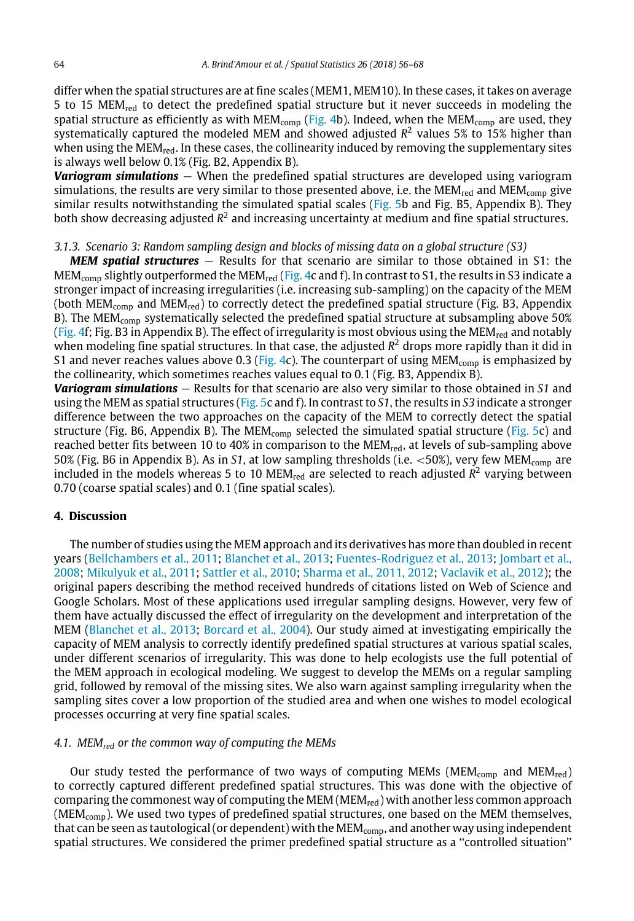differ when the spatial structures are at fine scales (MEM1, MEM10). In these cases, it takes on average 5 to 15 MEM<sub>red</sub> to detect the predefined spatial structure but it never succeeds in modeling the spatial structure as efficiently as with MEM<sub>comp</sub> [\(Fig. 4](#page-6-0)b). Indeed, when the MEM<sub>comp</sub> are used, they systematically captured the modeled MEM and showed adjusted *R* 2 values 5% to 15% higher than when using the MEM $_{\text{red}}$ . In these cases, the collinearity induced by removing the supplementary sites is always well below 0.1% (Fig. B2, Appendix B).

**Variogram simulations** − When the predefined spatial structures are developed using variogram simulations, the results are very similar to those presented above, i.e. the MEM<sub>red</sub> and MEM<sub>comp</sub> give similar results notwithstanding the simulated spatial scales ([Fig. 5b](#page-7-0) and Fig. B5, Appendix B). They both show decreasing adjusted  $R^2$  and increasing uncertainty at medium and fine spatial structures.

### *3.1.3. Scenario 3: Random sampling design and blocks of missing data on a global structure (S3)*

*MEM spatial structures* − Results for that scenario are similar to those obtained in S1: the MEM<sub>comp</sub> slightly outperformed the MEM<sub>red</sub> [\(Fig. 4c](#page-6-0) and f). In contrast to S1, the results in S3 indicate a stronger impact of increasing irregularities (i.e. increasing sub-sampling) on the capacity of the MEM (both  $MEM_{comp}$  and  $MEM_{red}$ ) to correctly detect the predefined spatial structure (Fig. B3, Appendix B). The MEM<sub>comp</sub> systematically selected the predefined spatial structure at subsampling above 50% ([Fig. 4f](#page-6-0); Fig. B3 in Appendix B). The effect of irregularity is most obvious using the MEM<sub>red</sub> and notably when modeling fine spatial structures. In that case, the adjusted *R* <sup>2</sup> drops more rapidly than it did in S1 and never reaches values above 0.3 ([Fig. 4](#page-6-0)c). The counterpart of using  $MEM_{\rm{comp}}$  is emphasized by the collinearity, which sometimes reaches values equal to 0.1 (Fig. B3, Appendix B).

*Variogram simulations* − Results for that scenario are also very similar to those obtained in *S1* and using the MEM as spatial structures ([Fig. 5](#page-7-0)c and f). In contrast to *S1*, the results in *S3* indicate a stronger difference between the two approaches on the capacity of the MEM to correctly detect the spatial structure (Fig. B6, Appendix B). The MEM<sub>comp</sub> selected the simulated spatial structure [\(Fig. 5](#page-7-0)c) and reached better fits between 10 to 40% in comparison to the MEM<sub>red</sub>, at levels of sub-sampling above 50% (Fig. B6 in Appendix B). As in *S1*, at low sampling thresholds (i.e. <50%), very few MEMcomp are included in the models whereas 5 to 10 MEM<sub>red</sub> are selected to reach adjusted  $R^2$  varying between 0.70 (coarse spatial scales) and 0.1 (fine spatial scales).

## **4. Discussion**

The number of studies using the MEM approach and its derivatives has more than doubled in recent years [\(Bellchambers](#page-11-3) [et](#page-11-3) [al.,](#page-11-3) [2011;](#page-11-3) [Blanchet](#page-11-7) [et](#page-11-7) [al.,](#page-11-7) [2013](#page-11-7); [Fuentes-Rodriguez](#page-11-5) [et](#page-11-5) [al.,](#page-11-5) [2013;](#page-11-5) [Jombart](#page-11-6) [et](#page-11-6) [al.,](#page-11-6) [2008](#page-11-6); [Mikulyuk](#page-12-1) [et](#page-12-1) [al.,](#page-12-1) [2011;](#page-12-1) [Sattler](#page-12-2) [et](#page-12-2) [al.,](#page-12-2) [2010;](#page-12-2) [Sharma](#page-12-3) [et](#page-12-3) [al.,](#page-12-3) [2011,](#page-12-3) [2012](#page-12-3); [Vaclavik](#page-12-0) [et](#page-12-0) [al.,](#page-12-0) [2012](#page-12-0)); the original papers describing the method received hundreds of citations listed on Web of Science and Google Scholars. Most of these applications used irregular sampling designs. However, very few of them have actually discussed the effect of irregularity on the development and interpretation of the MEM ([Blanchet](#page-11-7) [et](#page-11-7) [al.,](#page-11-7) [2013;](#page-11-7) [Borcard](#page-11-8) [et](#page-11-8) [al.,](#page-11-8) [2004\)](#page-11-8). Our study aimed at investigating empirically the capacity of MEM analysis to correctly identify predefined spatial structures at various spatial scales, under different scenarios of irregularity. This was done to help ecologists use the full potential of the MEM approach in ecological modeling. We suggest to develop the MEMs on a regular sampling grid, followed by removal of the missing sites. We also warn against sampling irregularity when the sampling sites cover a low proportion of the studied area and when one wishes to model ecological processes occurring at very fine spatial scales.

## *4.1. MEMred or the common way of computing the MEMs*

Our study tested the performance of two ways of computing MEMs ( $MEM_{comp}$  and  $MEM_{red}$ ) to correctly captured different predefined spatial structures. This was done with the objective of comparing the commonest way of computing the MEM ( $MEM_{red}$ ) with another less common approach  $(MEM_{\text{comp}})$ . We used two types of predefined spatial structures, one based on the MEM themselves, that can be seen as tautological (or dependent) with the  $MEM_{comp}$ , and another way using independent spatial structures. We considered the primer predefined spatial structure as a ''controlled situation''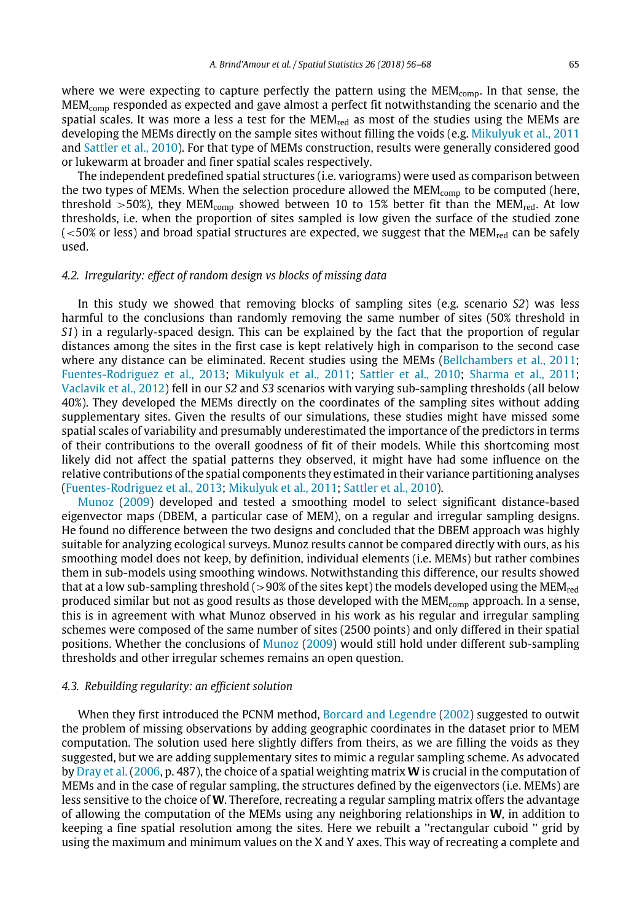where we were expecting to capture perfectly the pattern using the  $MEM_{\rm{comp}}$ . In that sense, the MEMcomp responded as expected and gave almost a perfect fit notwithstanding the scenario and the spatial scales. It was more a less a test for the  $MEM_{red}$  as most of the studies using the MEMs are developing the MEMs directly on the sample sites without filling the voids (e.g. [Mikulyuk](#page-12-1) [et](#page-12-1) [al.,](#page-12-1) [2011](#page-12-1) and [Sattler](#page-12-2) [et](#page-12-2) [al.,](#page-12-2) [2010](#page-12-2)). For that type of MEMs construction, results were generally considered good or lukewarm at broader and finer spatial scales respectively.

The independent predefined spatial structures (i.e. variograms) were used as comparison between the two types of MEMs. When the selection procedure allowed the  $MEM_{comp}$  to be computed (here, threshold  $>50\%$ ), they MEM<sub>comp</sub> showed between 10 to 15% better fit than the MEM<sub>red</sub>. At low thresholds, i.e. when the proportion of sites sampled is low given the surface of the studied zone  $\langle$  <50% or less) and broad spatial structures are expected, we suggest that the MEM<sub>red</sub> can be safely used.

#### *4.2. Irregularity: effect of random design vs blocks of missing data*

In this study we showed that removing blocks of sampling sites (e.g. scenario *S2*) was less harmful to the conclusions than randomly removing the same number of sites (50% threshold in *S1*) in a regularly-spaced design. This can be explained by the fact that the proportion of regular distances among the sites in the first case is kept relatively high in comparison to the second case where any distance can be eliminated. Recent studies using the MEMs [\(Bellchambers](#page-11-3) [et](#page-11-3) [al.,](#page-11-3) [2011;](#page-11-3) [Fuentes-Rodriguez](#page-11-5) [et](#page-11-5) [al.,](#page-11-5) [2013](#page-11-5); [Mikulyuk](#page-12-1) [et](#page-12-1) [al.,](#page-12-1) [2011;](#page-12-1) [Sattler](#page-12-2) [et](#page-12-2) [al.,](#page-12-2) [2010;](#page-12-2) [Sharma](#page-12-3) [et](#page-12-3) [al.,](#page-12-3) [2011;](#page-12-3) [Vaclavik](#page-12-0) [et](#page-12-0) [al.,](#page-12-0) [2012\)](#page-12-0) fell in our *S2* and *S3* scenarios with varying sub-sampling thresholds (all below 40%). They developed the MEMs directly on the coordinates of the sampling sites without adding supplementary sites. Given the results of our simulations, these studies might have missed some spatial scales of variability and presumably underestimated the importance of the predictors in terms of their contributions to the overall goodness of fit of their models. While this shortcoming most likely did not affect the spatial patterns they observed, it might have had some influence on the relative contributions of the spatial components they estimated in their variance partitioning analyses ([Fuentes-Rodriguez](#page-11-5) [et](#page-11-5) [al.,](#page-11-5) [2013;](#page-11-5) [Mikulyuk](#page-12-1) [et](#page-12-1) [al.,](#page-12-1) [2011;](#page-12-1) [Sattler](#page-12-2) [et](#page-12-2) [al.,](#page-12-2) [2010](#page-12-2)).

[Munoz](#page-12-8) [\(2009](#page-12-8)) developed and tested a smoothing model to select significant distance-based eigenvector maps (DBEM, a particular case of MEM), on a regular and irregular sampling designs. He found no difference between the two designs and concluded that the DBEM approach was highly suitable for analyzing ecological surveys. Munoz results cannot be compared directly with ours, as his smoothing model does not keep, by definition, individual elements (i.e. MEMs) but rather combines them in sub-models using smoothing windows. Notwithstanding this difference, our results showed that at a low sub-sampling threshold ( $>90\%$  of the sites kept) the models developed using the MEM<sub>red</sub> produced similar but not as good results as those developed with the MEM<sub>comp</sub> approach. In a sense, this is in agreement with what Munoz observed in his work as his regular and irregular sampling schemes were composed of the same number of sites (2500 points) and only differed in their spatial positions. Whether the conclusions of [Munoz](#page-12-8) [\(2009\)](#page-12-8) would still hold under different sub-sampling thresholds and other irregular schemes remains an open question.

## *4.3. Rebuilding regularity: an efficient solution*

When they first introduced the PCNM method, [Borcard](#page-11-2) [and](#page-11-2) [Legendre](#page-11-2) [\(2002\)](#page-11-2) suggested to outwit the problem of missing observations by adding geographic coordinates in the dataset prior to MEM computation. The solution used here slightly differs from theirs, as we are filling the voids as they suggested, but we are adding supplementary sites to mimic a regular sampling scheme. As advocated by [Dray](#page-11-1) [et](#page-11-1) [al.](#page-11-1) ([2006](#page-11-1), p. 487), the choice of a spatial weighting matrix **W** is crucial in the computation of MEMs and in the case of regular sampling, the structures defined by the eigenvectors (i.e. MEMs) are less sensitive to the choice of **W**. Therefore, recreating a regular sampling matrix offers the advantage of allowing the computation of the MEMs using any neighboring relationships in **W**, in addition to keeping a fine spatial resolution among the sites. Here we rebuilt a ''rectangular cuboid '' grid by using the maximum and minimum values on the X and Y axes. This way of recreating a complete and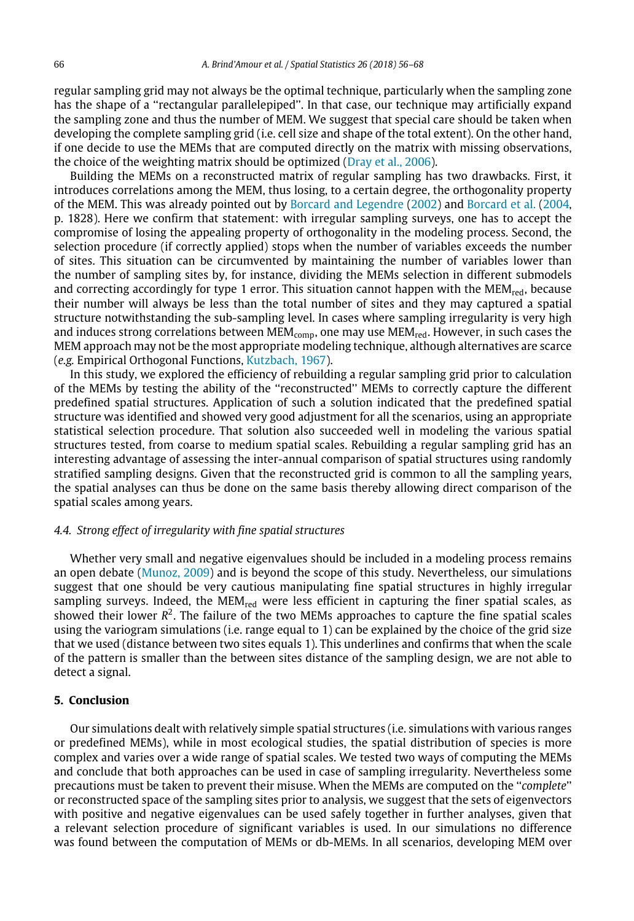regular sampling grid may not always be the optimal technique, particularly when the sampling zone has the shape of a ''rectangular parallelepiped''. In that case, our technique may artificially expand the sampling zone and thus the number of MEM. We suggest that special care should be taken when developing the complete sampling grid (i.e. cell size and shape of the total extent). On the other hand, if one decide to use the MEMs that are computed directly on the matrix with missing observations, the choice of the weighting matrix should be optimized [\(Dray](#page-11-1) [et](#page-11-1) [al.,](#page-11-1) [2006](#page-11-1)).

Building the MEMs on a reconstructed matrix of regular sampling has two drawbacks. First, it introduces correlations among the MEM, thus losing, to a certain degree, the orthogonality property of the MEM. This was already pointed out by [Borcard](#page-11-2) [and](#page-11-2) [Legendre](#page-11-2) ([2002\)](#page-11-2) and [Borcard](#page-11-8) [et](#page-11-8) [al.](#page-11-8) ([2004](#page-11-8), p. 1828). Here we confirm that statement: with irregular sampling surveys, one has to accept the compromise of losing the appealing property of orthogonality in the modeling process. Second, the selection procedure (if correctly applied) stops when the number of variables exceeds the number of sites. This situation can be circumvented by maintaining the number of variables lower than the number of sampling sites by, for instance, dividing the MEMs selection in different submodels and correcting accordingly for type 1 error. This situation cannot happen with the  $MEM_{red}$ , because their number will always be less than the total number of sites and they may captured a spatial structure notwithstanding the sub-sampling level. In cases where sampling irregularity is very high and induces strong correlations between  $MEM_{comp}$ , one may use  $MEM_{red}$ . However, in such cases the MEM approach may not be the most appropriate modeling technique, although alternatives are scarce (*e.g.* Empirical Orthogonal Functions, [Kutzbach,](#page-12-9) [1967\)](#page-12-9).

In this study, we explored the efficiency of rebuilding a regular sampling grid prior to calculation of the MEMs by testing the ability of the ''reconstructed'' MEMs to correctly capture the different predefined spatial structures. Application of such a solution indicated that the predefined spatial structure was identified and showed very good adjustment for all the scenarios, using an appropriate statistical selection procedure. That solution also succeeded well in modeling the various spatial structures tested, from coarse to medium spatial scales. Rebuilding a regular sampling grid has an interesting advantage of assessing the inter-annual comparison of spatial structures using randomly stratified sampling designs. Given that the reconstructed grid is common to all the sampling years, the spatial analyses can thus be done on the same basis thereby allowing direct comparison of the spatial scales among years.

#### *4.4. Strong effect of irregularity with fine spatial structures*

Whether very small and negative eigenvalues should be included in a modeling process remains an open debate ([Munoz,](#page-12-8) [2009\)](#page-12-8) and is beyond the scope of this study. Nevertheless, our simulations suggest that one should be very cautious manipulating fine spatial structures in highly irregular sampling surveys. Indeed, the  $MEM_{red}$  were less efficient in capturing the finer spatial scales, as showed their lower  $R^2$ . The failure of the two MEMs approaches to capture the fine spatial scales using the variogram simulations (i.e. range equal to 1) can be explained by the choice of the grid size that we used (distance between two sites equals 1). This underlines and confirms that when the scale of the pattern is smaller than the between sites distance of the sampling design, we are not able to detect a signal.

## **5. Conclusion**

Our simulations dealt with relatively simple spatial structures (i.e. simulations with various ranges or predefined MEMs), while in most ecological studies, the spatial distribution of species is more complex and varies over a wide range of spatial scales. We tested two ways of computing the MEMs and conclude that both approaches can be used in case of sampling irregularity. Nevertheless some precautions must be taken to prevent their misuse. When the MEMs are computed on the ''*complete*'' or reconstructed space of the sampling sites prior to analysis, we suggest that the sets of eigenvectors with positive and negative eigenvalues can be used safely together in further analyses, given that a relevant selection procedure of significant variables is used. In our simulations no difference was found between the computation of MEMs or db-MEMs. In all scenarios, developing MEM over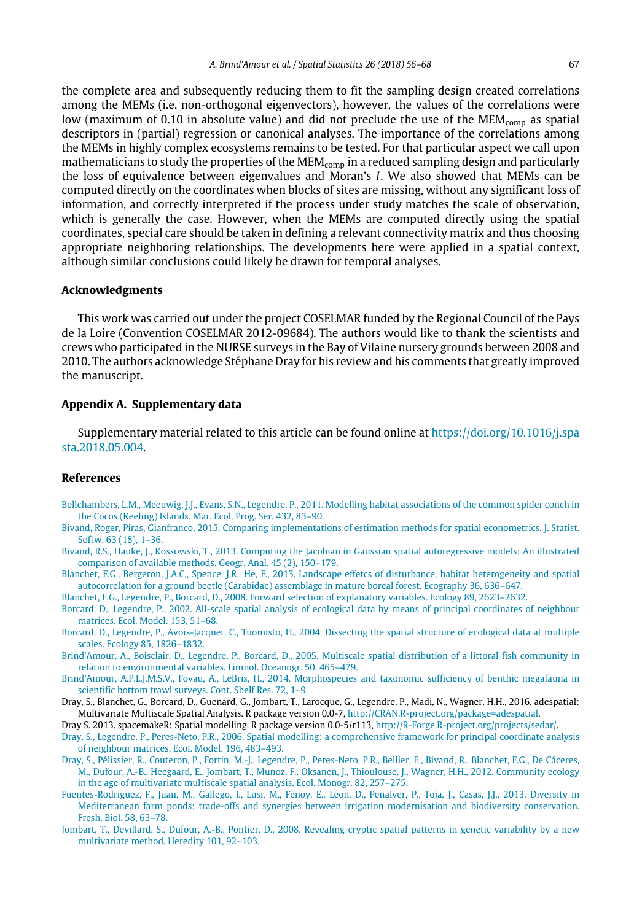the complete area and subsequently reducing them to fit the sampling design created correlations among the MEMs (i.e. non-orthogonal eigenvectors), however, the values of the correlations were low (maximum of 0.10 in absolute value) and did not preclude the use of the MEM<sub>comp</sub> as spatial descriptors in (partial) regression or canonical analyses. The importance of the correlations among the MEMs in highly complex ecosystems remains to be tested. For that particular aspect we call upon mathematicians to study the properties of the  $MEM_{comp}$  in a reduced sampling design and particularly the loss of equivalence between eigenvalues and Moran's *I*. We also showed that MEMs can be computed directly on the coordinates when blocks of sites are missing, without any significant loss of information, and correctly interpreted if the process under study matches the scale of observation, which is generally the case. However, when the MEMs are computed directly using the spatial coordinates, special care should be taken in defining a relevant connectivity matrix and thus choosing appropriate neighboring relationships. The developments here were applied in a spatial context, although similar conclusions could likely be drawn for temporal analyses.

## **Acknowledgments**

This work was carried out under the project COSELMAR funded by the Regional Council of the Pays de la Loire (Convention COSELMAR 2012-09684). The authors would like to thank the scientists and crews who participated in the NURSE surveys in the Bay of Vilaine nursery grounds between 2008 and 2010. The authors acknowledge Stéphane Dray for his review and his comments that greatly improved the manuscript.

## **Appendix A. Supplementary data**

Supplementary material related to this article can be found online at [https://doi.org/10.1016/j.spa](https://doi.org/10.1016/j.spasta.2018.05.004) [sta.2018.05.004.](https://doi.org/10.1016/j.spasta.2018.05.004)

## **References**

- <span id="page-11-3"></span>Bellchambers, L.M., Meeuwig, J.J., Evans, S.N., Legendre, P., [2011.](http://refhub.elsevier.com/S2211-6753(16)30058-6/sb1) [Modelling habitat associations of the common spider conch in](http://refhub.elsevier.com/S2211-6753(16)30058-6/sb1) [the Cocos \(Keeling\) Islands.](http://refhub.elsevier.com/S2211-6753(16)30058-6/sb1) [Mar. Ecol. Prog. Ser.](http://refhub.elsevier.com/S2211-6753(16)30058-6/sb1) [432,](http://refhub.elsevier.com/S2211-6753(16)30058-6/sb1) [83–90.](http://refhub.elsevier.com/S2211-6753(16)30058-6/sb1)
- <span id="page-11-11"></span>Bivand, Roger, Piras, Gianfranco, [2015.](http://refhub.elsevier.com/S2211-6753(16)30058-6/sb200) [Comparing implementations of estimation methods for spatial econometrics.](http://refhub.elsevier.com/S2211-6753(16)30058-6/sb200) [J. Statist.](http://refhub.elsevier.com/S2211-6753(16)30058-6/sb200) [Softw.](http://refhub.elsevier.com/S2211-6753(16)30058-6/sb200) [63 \(18\),](http://refhub.elsevier.com/S2211-6753(16)30058-6/sb200) [1–36.](http://refhub.elsevier.com/S2211-6753(16)30058-6/sb200)
- Bivand, R.S., Hauke, J., Kossowski, T., [2013.](http://refhub.elsevier.com/S2211-6753(16)30058-6/sb201) [Computing the Jacobian in Gaussian spatial autoregressive models: An illustrated](http://refhub.elsevier.com/S2211-6753(16)30058-6/sb201) [comparison of available methods.](http://refhub.elsevier.com/S2211-6753(16)30058-6/sb201) [Geogr. Anal.](http://refhub.elsevier.com/S2211-6753(16)30058-6/sb201) [45 \(2\),](http://refhub.elsevier.com/S2211-6753(16)30058-6/sb201) [150–179](http://refhub.elsevier.com/S2211-6753(16)30058-6/sb201).
- <span id="page-11-7"></span>Blanchet, F.G., Bergeron, J.A.C., Spence, J.R., He, F., [2013.](http://refhub.elsevier.com/S2211-6753(16)30058-6/sb2) [Landscape effetcs of disturbance, habitat heterogeneity and spatial](http://refhub.elsevier.com/S2211-6753(16)30058-6/sb2) [autocorrelation for a ground beetle \(Carabidae\) assemblage in mature boreal forest.](http://refhub.elsevier.com/S2211-6753(16)30058-6/sb2) [Ecography](http://refhub.elsevier.com/S2211-6753(16)30058-6/sb2) [36,](http://refhub.elsevier.com/S2211-6753(16)30058-6/sb2) [636–647](http://refhub.elsevier.com/S2211-6753(16)30058-6/sb2).
- <span id="page-11-13"></span>Blanchet, F.G., Legendre, P., Borcard, D., [2008.](http://refhub.elsevier.com/S2211-6753(16)30058-6/sb3) [Forward selection of explanatory variables.](http://refhub.elsevier.com/S2211-6753(16)30058-6/sb3) [Ecology](http://refhub.elsevier.com/S2211-6753(16)30058-6/sb3) [89,](http://refhub.elsevier.com/S2211-6753(16)30058-6/sb3) [2623–2632](http://refhub.elsevier.com/S2211-6753(16)30058-6/sb3).
- <span id="page-11-2"></span>Borcard, D., Legendre, P., [2002.](http://refhub.elsevier.com/S2211-6753(16)30058-6/sb4) [All-scale spatial analysis of ecological data by means of principal coordinates of neighbour](http://refhub.elsevier.com/S2211-6753(16)30058-6/sb4) [matrices.](http://refhub.elsevier.com/S2211-6753(16)30058-6/sb4) [Ecol. Model.](http://refhub.elsevier.com/S2211-6753(16)30058-6/sb4) [153,](http://refhub.elsevier.com/S2211-6753(16)30058-6/sb4) [51–68.](http://refhub.elsevier.com/S2211-6753(16)30058-6/sb4)
- <span id="page-11-8"></span>Borcard, D., Legendre, P., Avois-Jacquet, C., Tuomisto, H., [2004.](http://refhub.elsevier.com/S2211-6753(16)30058-6/sb5) [Dissecting the spatial structure of ecological data at multiple](http://refhub.elsevier.com/S2211-6753(16)30058-6/sb5) [scales.](http://refhub.elsevier.com/S2211-6753(16)30058-6/sb5) [Ecology](http://refhub.elsevier.com/S2211-6753(16)30058-6/sb5) [85,](http://refhub.elsevier.com/S2211-6753(16)30058-6/sb5) [1826–1832.](http://refhub.elsevier.com/S2211-6753(16)30058-6/sb5)
- <span id="page-11-4"></span>Brind'Amour, A., Boisclair, D., Legendre, P., Borcard, D., [2005.](http://refhub.elsevier.com/S2211-6753(16)30058-6/sb6) [Multiscale spatial distribution of a littoral fish community in](http://refhub.elsevier.com/S2211-6753(16)30058-6/sb6) [relation to environmental variables.](http://refhub.elsevier.com/S2211-6753(16)30058-6/sb6) [Limnol. Oceanogr.](http://refhub.elsevier.com/S2211-6753(16)30058-6/sb6) [50,](http://refhub.elsevier.com/S2211-6753(16)30058-6/sb6) [465–479.](http://refhub.elsevier.com/S2211-6753(16)30058-6/sb6)
- <span id="page-11-9"></span>Brind'Amour, A.P.L.J.M.S.V., Fovau, A., LeBris, H., [2014.](http://refhub.elsevier.com/S2211-6753(16)30058-6/sb7) [Morphospecies and taxonomic sufficiency of benthic megafauna in](http://refhub.elsevier.com/S2211-6753(16)30058-6/sb7) [scientific bottom trawl surveys.](http://refhub.elsevier.com/S2211-6753(16)30058-6/sb7) [Cont. Shelf Res.](http://refhub.elsevier.com/S2211-6753(16)30058-6/sb7) [72,](http://refhub.elsevier.com/S2211-6753(16)30058-6/sb7) [1–9.](http://refhub.elsevier.com/S2211-6753(16)30058-6/sb7)
- <span id="page-11-12"></span>Dray, S., Blanchet, G., Borcard, D., Guenard, G., Jombart, T., Larocque, G., Legendre, P., Madi, N., Wagner, H.H., 2016. adespatial: Multivariate Multiscale Spatial Analysis. R package version 0.0-7, [http://CRAN.R-project.org/package=adespatial](http://CRAN.R-project.org/package%3Dadespatial).
- <span id="page-11-10"></span>Dray S. 2013. spacemakeR: Spatial modelling. R package version 0.0-5/r113, [http://R-Forge.R-project.org/projects/sedar/.](http://R-Forge.R-project.org/projects/sedar/)
- <span id="page-11-1"></span>Dray, S., Legendre, P., Peres-Neto, P.R., [2006.](http://refhub.elsevier.com/S2211-6753(16)30058-6/sb9) [Spatial modelling: a comprehensive framework for principal coordinate analysis](http://refhub.elsevier.com/S2211-6753(16)30058-6/sb9) [of neighbour matrices.](http://refhub.elsevier.com/S2211-6753(16)30058-6/sb9) [Ecol. Model.](http://refhub.elsevier.com/S2211-6753(16)30058-6/sb9) [196,](http://refhub.elsevier.com/S2211-6753(16)30058-6/sb9) [483–493.](http://refhub.elsevier.com/S2211-6753(16)30058-6/sb9)
- <span id="page-11-0"></span>[Dray, S., Pélissier, R., Couteron, P., Fortin, M.-J., Legendre, P., Peres-Neto, P.R., Bellier, E., Bivand, R., Blanchet, F.G., De Cáceres,](http://refhub.elsevier.com/S2211-6753(16)30058-6/sb10) [M., Dufour, A.-B., Heegaard, E., Jombart, T., Munoz, F., Oksanen, J., Thioulouse, J., Wagner, H.H.,](http://refhub.elsevier.com/S2211-6753(16)30058-6/sb10) [2012.](http://refhub.elsevier.com/S2211-6753(16)30058-6/sb10) [Community ecology](http://refhub.elsevier.com/S2211-6753(16)30058-6/sb10) [in the age of multivariate multiscale spatial analysis.](http://refhub.elsevier.com/S2211-6753(16)30058-6/sb10) [Ecol. Monogr.](http://refhub.elsevier.com/S2211-6753(16)30058-6/sb10) [82,](http://refhub.elsevier.com/S2211-6753(16)30058-6/sb10) [257–275.](http://refhub.elsevier.com/S2211-6753(16)30058-6/sb10)
- <span id="page-11-5"></span>[Fuentes-Rodriguez, F., Juan, M., Gallego, I., Lusi, M., Fenoy, E., Leon, D., Penalver, P., Toja, J., Casas, J.J.,](http://refhub.elsevier.com/S2211-6753(16)30058-6/sb11) [2013.](http://refhub.elsevier.com/S2211-6753(16)30058-6/sb11) [Diversity in](http://refhub.elsevier.com/S2211-6753(16)30058-6/sb11) [Mediterranean farm ponds: trade-offs and synergies between irrigation modernisation and biodiversity conservation.](http://refhub.elsevier.com/S2211-6753(16)30058-6/sb11) [Fresh. Biol.](http://refhub.elsevier.com/S2211-6753(16)30058-6/sb11) [58,](http://refhub.elsevier.com/S2211-6753(16)30058-6/sb11) [63–78](http://refhub.elsevier.com/S2211-6753(16)30058-6/sb11).
- <span id="page-11-6"></span>Jombart, T., Devillard, S., Dufour, A.-B., Pontier, D., [2008.](http://refhub.elsevier.com/S2211-6753(16)30058-6/sb12) [Revealing cryptic spatial patterns in genetic variability by a new](http://refhub.elsevier.com/S2211-6753(16)30058-6/sb12) [multivariate method.](http://refhub.elsevier.com/S2211-6753(16)30058-6/sb12) [Heredity](http://refhub.elsevier.com/S2211-6753(16)30058-6/sb12) [101,](http://refhub.elsevier.com/S2211-6753(16)30058-6/sb12) [92–103](http://refhub.elsevier.com/S2211-6753(16)30058-6/sb12).